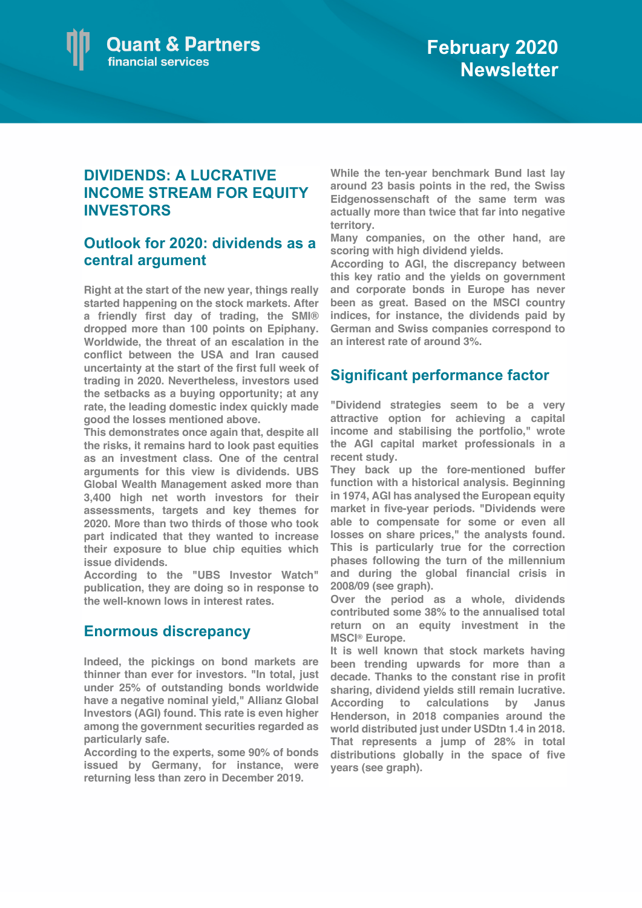

## **DIVIDENDS: A LUCRATIVE INCOME STREAM FOR EQUITY INVESTORS**

### **Outlook for 2020: dividends as a central argument**

**Right at the start of the new year, things really started happening on the stock markets. After a friendly first day of trading, the SMI® dropped more than 100 points on Epiphany. Worldwide, the threat of an escalation in the conflict between the USA and Iran caused uncertainty at the start of the first full week of trading in 2020. Nevertheless, investors used the setbacks as a buying opportunity; at any rate, the leading domestic index quickly made good the losses mentioned above.**

**This demonstrates once again that, despite all the risks, it remains hard to look past equities as an investment class. One of the central arguments for this view is dividends. UBS Global Wealth Management asked more than 3,400 high net worth investors for their assessments, targets and key themes for 2020. More than two thirds of those who took part indicated that they wanted to increase their exposure to blue chip equities which issue dividends.**

**According to the "UBS Investor Watch" publication, they are doing so in response to the well-known lows in interest rates.**

#### **Enormous discrepancy**

**Indeed, the pickings on bond markets are thinner than ever for investors. "In total, just under 25% of outstanding bonds worldwide have a negative nominal yield," Allianz Global Investors (AGI) found. This rate is even higher among the government securities regarded as particularly safe.**

**According to the experts, some 90% of bonds issued by Germany, for instance, were returning less than zero in December 2019.**

**While the ten-year benchmark Bund last lay around 23 basis points in the red, the Swiss Eidgenossenschaft of the same term was actually more than twice that far into negative territory.** 

**Many companies, on the other hand, are scoring with high dividend yields.** 

**According to AGI, the discrepancy between this key ratio and the yields on government and corporate bonds in Europe has never been as great. Based on the MSCI country indices, for instance, the dividends paid by German and Swiss companies correspond to an interest rate of around 3%.**

#### **Significant performance factor**

**"Dividend strategies seem to be a very attractive option for achieving a capital income and stabilising the portfolio," wrote the AGI capital market professionals in a recent study.** 

**They back up the fore-mentioned buffer function with a historical analysis. Beginning in 1974, AGI has analysed the European equity market in five-year periods. "Dividends were able to compensate for some or even all losses on share prices," the analysts found. This is particularly true for the correction phases following the turn of the millennium and during the global financial crisis in 2008/09 (see graph).** 

**Over the period as a whole, dividends contributed some 38% to the annualised total return on an equity investment in the MSCI® Europe.** 

**It is well known that stock markets having been trending upwards for more than a decade. Thanks to the constant rise in profit sharing, dividend yields still remain lucrative. According to calculations by Janus Henderson, in 2018 companies around the world distributed just under USDtn 1.4 in 2018. That represents a jump of 28% in total distributions globally in the space of five years (see graph).**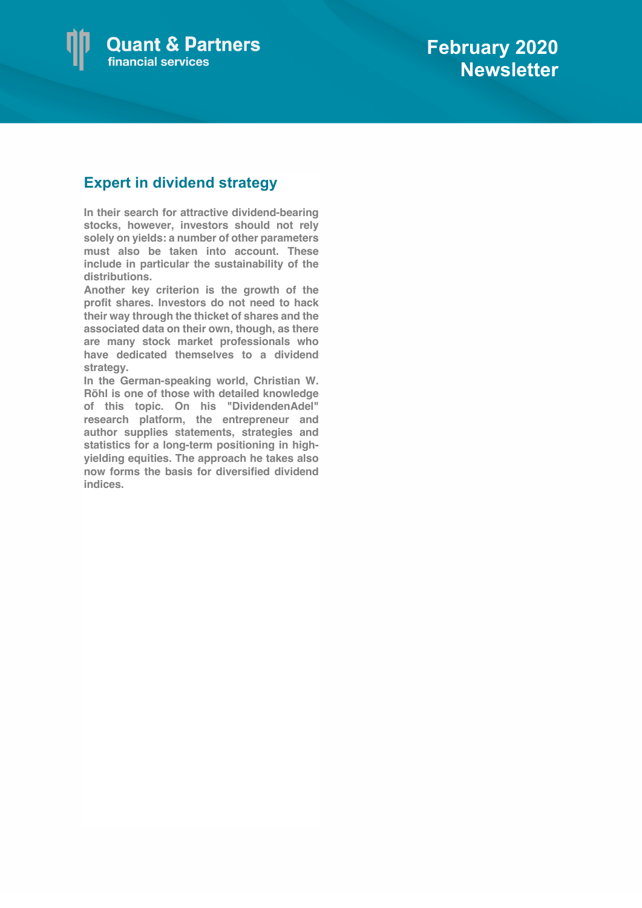

# **Expert in dividend strategy**

**In their search for attractive dividend-bearing stocks, however, investors should not rely solely on yields: a number of other parameters must also be taken into account. These include in particular the sustainability of the distributions.** 

**Another key criterion is the growth of the profit shares. Investors do not need to hack their way through the thicket of shares and the associated data on their own, though, as there are many stock market professionals who have dedicated themselves to a dividend strategy.** 

**In the German-speaking world, Christian W. Röhl is one of those with detailed knowledge of this topic. On his "DividendenAdel" research platform, the entrepreneur and author supplies statements, strategies and statistics for a long-term positioning in highyielding equities. The approach he takes also now forms the basis for diversified dividend indices.**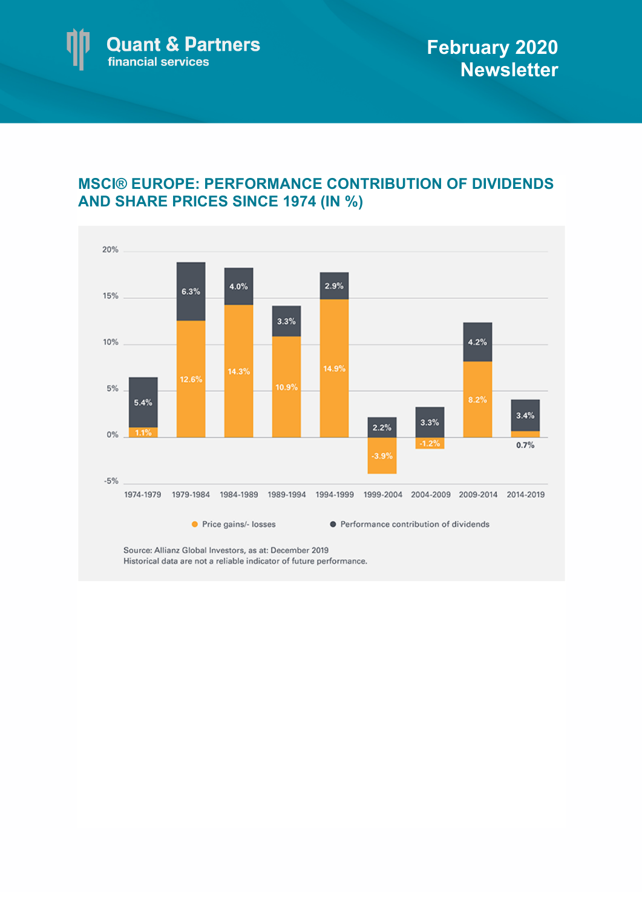

# **MSCI® EUROPE: PERFORMANCE CONTRIBUTION OF DIVIDENDS AND SHARE PRICES SINCE 1974 (IN %)**



Source: Allianz Global Investors, as at: December 2019 Historical data are not a reliable indicator of future performance.